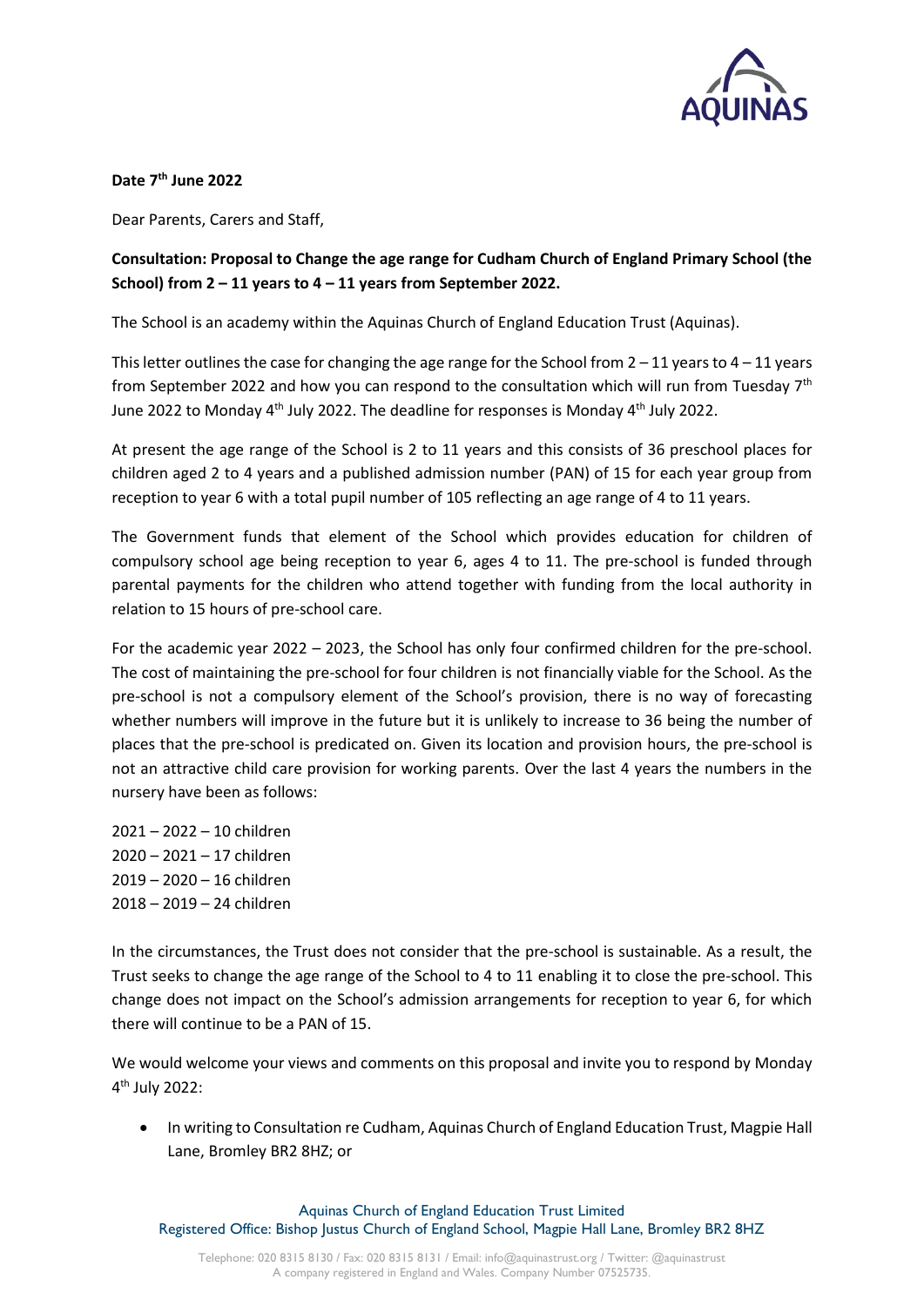

**Date 7th June 2022**

Dear Parents, Carers and Staff,

## **Consultation: Proposal to Change the age range for Cudham Church of England Primary School (the School) from 2 – 11 years to 4 – 11 years from September 2022.**

The School is an academy within the Aquinas Church of England Education Trust (Aquinas).

This letter outlines the case for changing the age range for the School from  $2 - 11$  years to  $4 - 11$  years from September 2022 and how you can respond to the consultation which will run from Tuesday  $7<sup>th</sup>$ June 2022 to Monday  $4<sup>th</sup>$  July 2022. The deadline for responses is Monday  $4<sup>th</sup>$  July 2022.

At present the age range of the School is 2 to 11 years and this consists of 36 preschool places for children aged 2 to 4 years and a published admission number (PAN) of 15 for each year group from reception to year 6 with a total pupil number of 105 reflecting an age range of 4 to 11 years.

The Government funds that element of the School which provides education for children of compulsory school age being reception to year 6, ages 4 to 11. The pre-school is funded through parental payments for the children who attend together with funding from the local authority in relation to 15 hours of pre-school care.

For the academic year 2022 – 2023, the School has only four confirmed children for the pre-school. The cost of maintaining the pre-school for four children is not financially viable for the School. As the pre-school is not a compulsory element of the School's provision, there is no way of forecasting whether numbers will improve in the future but it is unlikely to increase to 36 being the number of places that the pre-school is predicated on. Given its location and provision hours, the pre-school is not an attractive child care provision for working parents. Over the last 4 years the numbers in the nursery have been as follows:

– 2022 – 10 children – 2021 – 17 children – 2020 – 16 children – 2019 – 24 children

In the circumstances, the Trust does not consider that the pre-school is sustainable. As a result, the Trust seeks to change the age range of the School to 4 to 11 enabling it to close the pre-school. This change does not impact on the School's admission arrangements for reception to year 6, for which there will continue to be a PAN of 15.

We would welcome your views and comments on this proposal and invite you to respond by Monday 4 th July 2022:

 In writing to Consultation re Cudham, Aquinas Church of England Education Trust, Magpie Hall Lane, Bromley BR2 8HZ; or

Aquinas Church of England Education Trust Limited Registered Office: Bishop Justus Church of England School, Magpie Hall Lane, Bromley BR2 8HZ